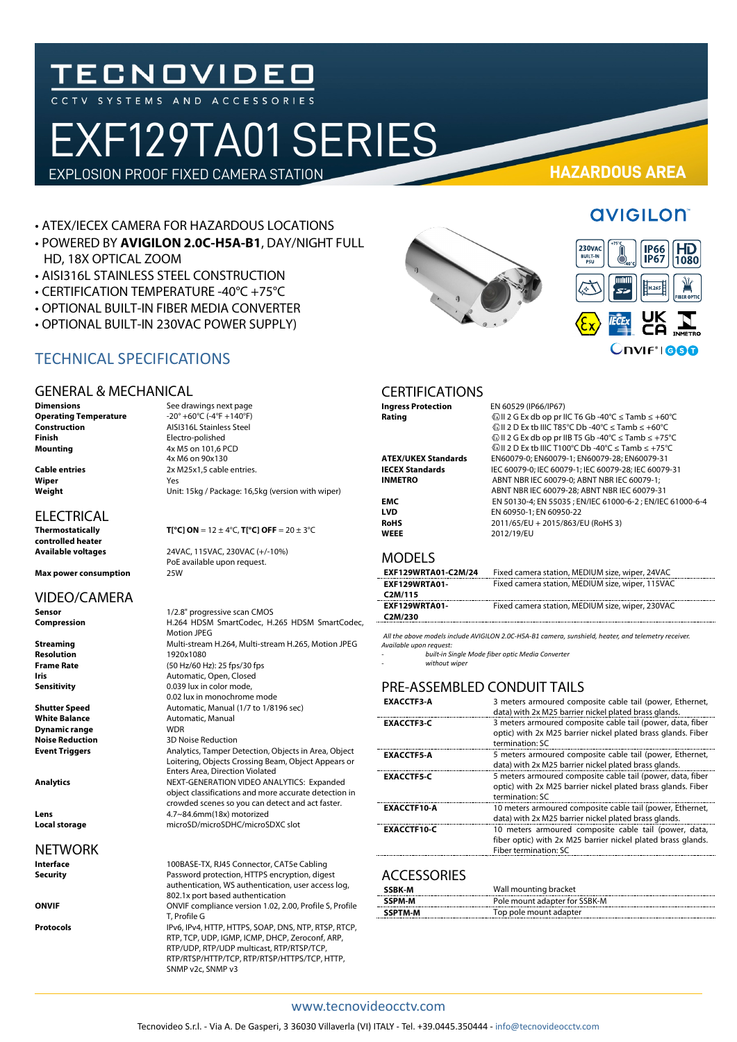## TECNOVIDEO

# EXF129TA01 SERIES

EXPLOSION PROOF FIXED CAMERA STATION **HAZARDOUS AREA**

#### • ATEX/IECEX CAMERA FOR HAZARDOUS LOCATIONS

- POWERED BY **AVIGILON 2.0C-H5A-B1**, DAY/NIGHT FULL HD, 18X OPTICAL ZOOM
- AISI316L STAINLESS STEEL CONSTRUCTION
- CERTIFICATION TEMPERATURE -40°C +75°C
- OPTIONAL BUILT-IN FIBER MEDIA CONVERTER
- OPTIONAL BUILT-IN 230VAC POWER SUPPLY)

#### TECHNICAL SPECIFICATIONS

#### GENERAL & MECHANICAL

**Operating Temperature<br>Construction Construction**<br> **Construction**<br> **Construction**<br> **Construction**<br> **Construction**<br> **Construction**<br> **Construction Finish** Electro-polished<br> **Mounting**  $4x M5$  on 101,6 F

**Wiper** Yes

#### **ELECTRICAL**

**controlled heater**

**Max power consumption** 

#### VIDEO/CAMERA

### NETWORK

#### **Dimensions** See drawings next page<br> **Operating Temperature**  $-20^\circ + 60^\circ \text{C}$  (-4°F +140°F) **Mounting** 4x M5 on 101,6 PCD 4x M6 on 90x130 **Cable entries** 2x M25x1,5 cable entries.

**Weight** Unit: 15kg / Package: 16,5kg (version with wiper)

#### **Thermostatically**  $T[^{\circ}C]$  **ON = 12**  $\pm$  **4** $^{\circ}C$ **,**  $T[^{\circ}C]$  **OFF = 20**  $\pm$  **3** $^{\circ}C$

**Available voltages** 24VAC, 115VAC, 230VAC (+/-10%) PoE available upon request.<br>25W

| Sensor                 | 1/2.8" progressive scan CMOS                                                                                                                           |  |  |  |
|------------------------|--------------------------------------------------------------------------------------------------------------------------------------------------------|--|--|--|
| Compression            | H.264 HDSM SmartCodec, H.265 HDSM SmartCodec,<br><b>Motion JPEG</b>                                                                                    |  |  |  |
| Streaming              | Multi-stream H.264, Multi-stream H.265, Motion JPEG                                                                                                    |  |  |  |
| Resolution             | 1920x1080                                                                                                                                              |  |  |  |
| Frame Rate             | (50 Hz/60 Hz): 25 fps/30 fps                                                                                                                           |  |  |  |
| Iris                   | Automatic, Open, Closed                                                                                                                                |  |  |  |
| Sensitivity            | 0.039 lux in color mode,                                                                                                                               |  |  |  |
|                        | 0.02 lux in monochrome mode                                                                                                                            |  |  |  |
| <b>Shutter Speed</b>   | Automatic, Manual (1/7 to 1/8196 sec)                                                                                                                  |  |  |  |
| <b>White Balance</b>   | Automatic, Manual                                                                                                                                      |  |  |  |
| Dynamic range          | <b>WDR</b>                                                                                                                                             |  |  |  |
| <b>Noise Reduction</b> | <b>3D Noise Reduction</b>                                                                                                                              |  |  |  |
| <b>Event Triggers</b>  | Analytics, Tamper Detection, Objects in Area, Object<br>Loitering, Objects Crossing Beam, Object Appears or<br><b>Enters Area, Direction Violated</b>  |  |  |  |
| Analytics              | NEXT-GENERATION VIDEO ANALYTICS: Expanded<br>object classifications and more accurate detection in<br>crowded scenes so you can detect and act faster. |  |  |  |
| Lens                   | 4.7~84.6mm(18x) motorized                                                                                                                              |  |  |  |
| Local storage          | microSD/microSDHC/microSDXC slot                                                                                                                       |  |  |  |
|                        |                                                                                                                                                        |  |  |  |

| Interface | 100BASE-TX, RJ45 Connector, CAT5e Cabling                                                                                                                                                                                 |
|-----------|---------------------------------------------------------------------------------------------------------------------------------------------------------------------------------------------------------------------------|
| Security  | Password protection, HTTPS encryption, digest<br>authentication, WS authentication, user access log,<br>802.1x port based authentication                                                                                  |
| ONVIF     | ONVIF compliance version 1.02, 2.00, Profile S, Profile<br>T. Profile G                                                                                                                                                   |
| Protocols | IPv6, IPv4, HTTP, HTTPS, SOAP, DNS, NTP, RTSP, RTCP,<br>RTP, TCP, UDP, IGMP, ICMP, DHCP, Zeroconf, ARP,<br>RTP/UDP, RTP/UDP multicast, RTP/RTSP/TCP,<br>RTP/RTSP/HTTP/TCP, RTP/RTSP/HTTPS/TCP, HTTP,<br>SNMP v2c, SNMP v3 |



**AVIGILON** 



#### CERTIFICATIONS

**WEEE** 2012/19/EU

**Ingress Protection** EN 60529 (IP66/IP67) **Rating** II 2 G Ex db op pr IIC T6 Gb -40°C ≤ Tamb ≤ +60°C II 2 D Ex tb IIIC T85°C Db -40°C ≤ Tamb ≤ +60°C II 2 G Ex db op pr IIB T5 Gb -40°C ≤ Tamb ≤ +75°C II 2 D Ex tb IIIC T100°C Db -40°C ≤ Tamb ≤ +75°C **ATEX/UKEX Standards** EN60079-0; EN60079-1; EN60079-28; EN60079-31 **IECEX Standards** IEC 60079-0; IEC 60079-1; IEC 60079-28; IEC 60079-31<br>**INMETRO** ABNT NBR IEC 60079-0; ABNT NBR IEC 60079-1; **INMETRO** ABNT NBR IEC 60079-0; ABNT NBR IEC 60079-1; ABNT NBR IEC 60079-28; ABNT NBR IEC 60079-31 **EMC EN 50130-4; EN 55035 ; EN/IEC 61000-6-2 ; EN/IEC 61000-6-4**<br>**EN 60950-1: EN 60950-22 LVD** EN 60950-1; EN 60950-22<br> **RoHS** 2011/65/ELL+ 2015/863/L **RoHS** 2011/65/EU + 2015/863/EU (RoHS 3)

#### MODELS

| EXF129WRTA01-C2M/24  | Fixed camera station, MEDIUM size, wiper, 24VAC  |
|----------------------|--------------------------------------------------|
| <b>EXF129WRTA01-</b> | Fixed camera station, MEDIUM size, wiper, 115VAC |
| C <sub>2</sub> M/115 |                                                  |
| <b>EXF129WRTA01-</b> | Fixed camera station, MEDIUM size, wiper, 230VAC |
| C2M/230              |                                                  |

*All the above models include AVIGILON 2.0C-H5A-B1 camera, sunshield, heater, and telemetry receiver. Available upon request:* 

*- built-in Single Mode fiber optic Media Converter*

 $without$ *without* wipe

#### PRE-ASSEMBLED CONDUIT TAILS

| <b>EXACCTF3-A</b>  | 3 meters armoured composite cable tail (power, Ethernet,     |  |  |  |
|--------------------|--------------------------------------------------------------|--|--|--|
|                    | data) with 2x M25 barrier nickel plated brass glands.        |  |  |  |
| <b>EXACCTF3-C</b>  | 3 meters armoured composite cable tail (power, data, fiber   |  |  |  |
|                    | optic) with 2x M25 barrier nickel plated brass glands. Fiber |  |  |  |
|                    | termination: SC                                              |  |  |  |
| <b>EXACCTF5-A</b>  | 5 meters armoured composite cable tail (power, Ethernet,     |  |  |  |
|                    | data) with 2x M25 barrier nickel plated brass glands.        |  |  |  |
| <b>EXACCTF5-C</b>  | 5 meters armoured composite cable tail (power, data, fiber   |  |  |  |
|                    | optic) with 2x M25 barrier nickel plated brass glands. Fiber |  |  |  |
|                    | termination: SC                                              |  |  |  |
| <b>EXACCTF10-A</b> | 10 meters armoured composite cable tail (power, Ethernet,    |  |  |  |
|                    | data) with 2x M25 barrier nickel plated brass glands.        |  |  |  |
| <b>EXACCTF10-C</b> | 10 meters armoured composite cable tail (power, data,        |  |  |  |
|                    | fiber optic) with 2x M25 barrier nickel plated brass glands. |  |  |  |
|                    | Fiber termination: SC                                        |  |  |  |

#### **ACCESSORIES**

| <b>SSBK-M</b> | Wall mounting bracket         |
|---------------|-------------------------------|
| SSPM-M        | Pole mount adapter for SSBK-M |
| SSPTM-M       | Top pole mount adapter        |

#### www.tecnovideocctv.com